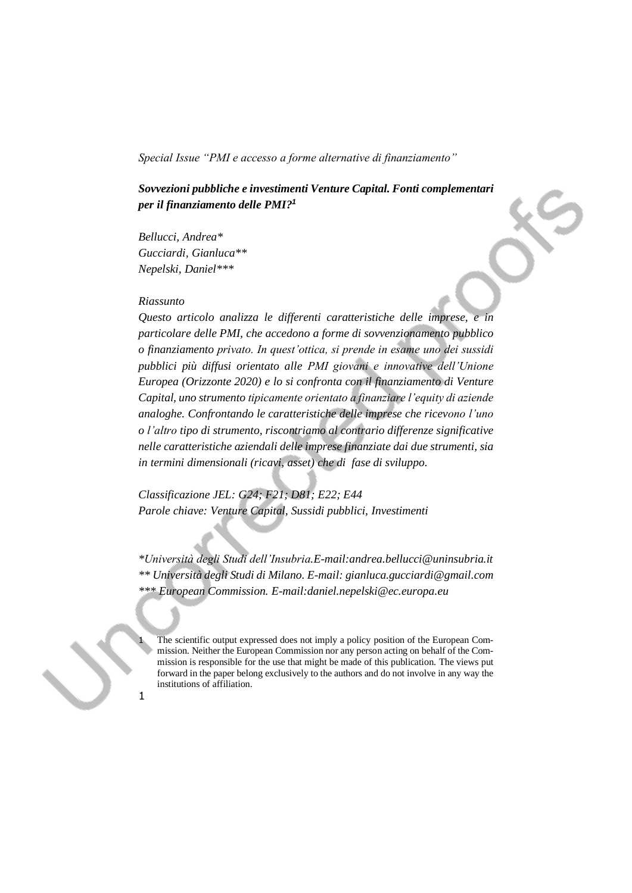*Sovvezioni pubbliche e investimenti Venture Capital. Fonti complementari per il finanziamento delle PMI? 1*

*Bellucci, Andrea\* Gucciardi, Gianluca\*\* Nepelski, Daniel\*\*\**

#### *Riassunto*

1

*Questo articolo analizza le differenti caratteristiche delle imprese, e in particolare delle PMI, che accedono a forme di sovvenzionamento pubblico o finanziamento privato. In quest'ottica, si prende in esame uno dei sussidi pubblici più diffusi orientato alle PMI giovani e innovative dell'Unione Europea (Orizzonte 2020) e lo si confronta con il finanziamento di Venture Capital, uno strumento tipicamente orientato a finanziare l'equity di aziende analoghe. Confrontando le caratteristiche delle imprese che ricevono l'uno o l'altro tipo di strumento, riscontriamo al contrario differenze significative nelle caratteristiche aziendali delle imprese finanziate dai due strumenti, sia in termini dimensionali (ricavi, asset) che di fase di sviluppo.* 

*Classificazione JEL: G24; F21; D81; E22; E44 Parole chiave: Venture Capital, Sussidi pubblici, Investimenti*

*\*Università degli Studi dell'Insubria.E-mail:andrea.bellucci@uninsubria.it \*\* Università degli Studi di Milano. E-mail: gianluca.gucciardi@gmail.com \*\*\* European Commission. E-mail:daniel.nepelski@ec.europa.eu*

The scientific output expressed does not imply a policy position of the European Commission. Neither the European Commission nor any person acting on behalf of the Commission is responsible for the use that might be made of this publication. The views put forward in the paper belong exclusively to the authors and do not involve in any way the institutions of affiliation.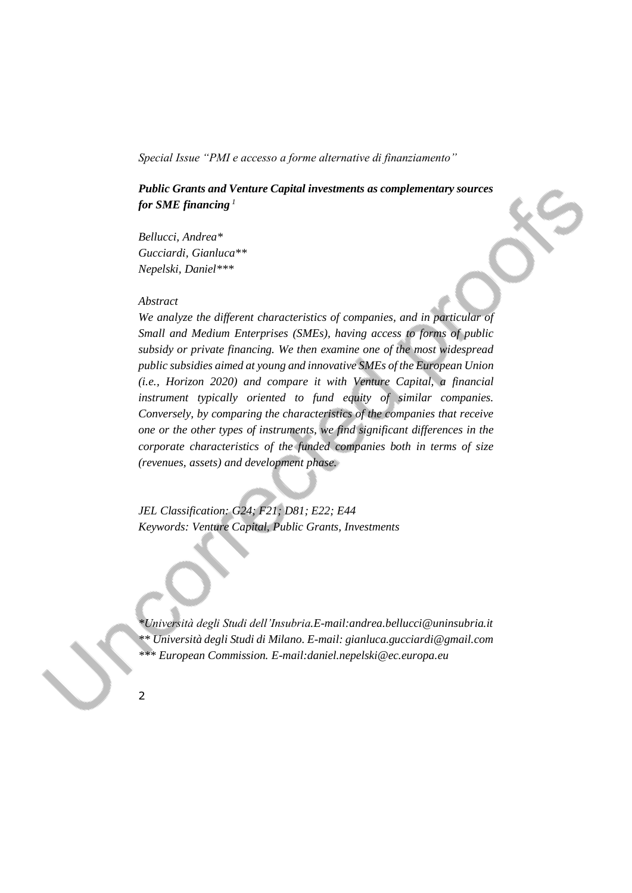# *Public Grants and Venture Capital investments as complementary sources for SME financing <sup>1</sup>*

*Bellucci, Andrea\* Gucciardi, Gianluca\*\* Nepelski, Daniel\*\*\**

### *Abstract*

*We analyze the different characteristics of companies, and in particular of Small and Medium Enterprises (SMEs), having access to forms of public subsidy or private financing. We then examine one of the most widespread public subsidies aimed at young and innovative SMEs of the European Union (i.e., Horizon 2020) and compare it with Venture Capital, a financial instrument typically oriented to fund equity of similar companies. Conversely, by comparing the characteristics of the companies that receive one or the other types of instruments, we find significant differences in the corporate characteristics of the funded companies both in terms of size (revenues, assets) and development phase.*

*JEL Classification: G24; F21; D81; E22; E44 Keywords: Venture Capital, Public Grants, Investments*

*\*Università degli Studi dell'Insubria.E-mail:andrea.bellucci@uninsubria.it \*\* Università degli Studi di Milano. E-mail: gianluca.gucciardi@gmail.com \*\*\* European Commission. E-mail:daniel.nepelski@ec.europa.eu*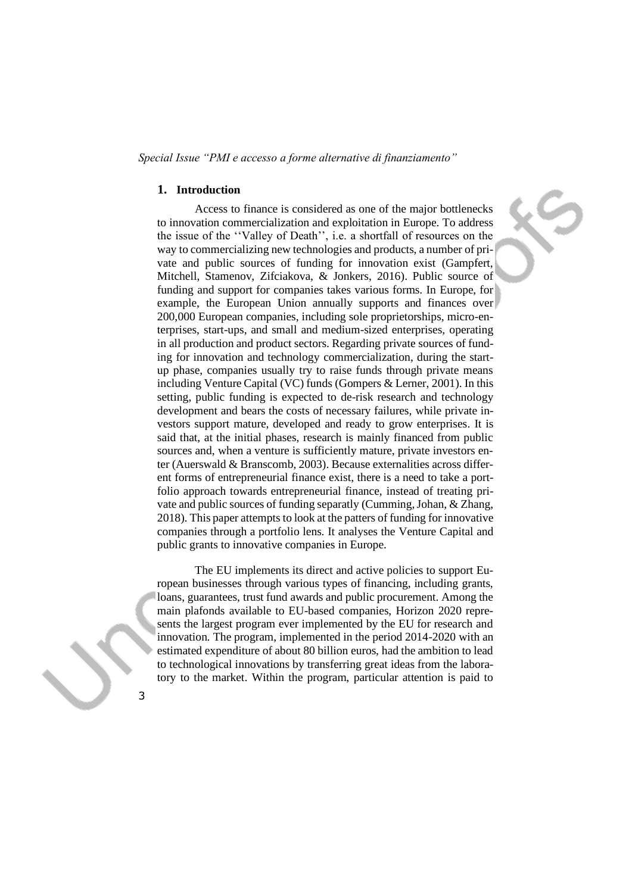#### **1. Introduction**

Access to finance is considered as one of the major bottlenecks to innovation commercialization and exploitation in Europe. To address the issue of the ''Valley of Death'', i.e. a shortfall of resources on the way to commercializing new technologies and products, a number of private and public sources of funding for innovation exist (Gampfert, Mitchell, Stamenov, Zifciakova, & Jonkers, 2016). Public source of funding and support for companies takes various forms. In Europe, for example, the European Union annually supports and finances over 200,000 European companies, including sole proprietorships, micro-enterprises, start-ups, and small and medium-sized enterprises, operating in all production and product sectors. Regarding private sources of funding for innovation and technology commercialization, during the startup phase, companies usually try to raise funds through private means including Venture Capital (VC) funds (Gompers & Lerner, 2001). In this setting, public funding is expected to de-risk research and technology development and bears the costs of necessary failures, while private investors support mature, developed and ready to grow enterprises. It is said that, at the initial phases, research is mainly financed from public sources and, when a venture is sufficiently mature, private investors enter (Auerswald & Branscomb, 2003). Because externalities across different forms of entrepreneurial finance exist, there is a need to take a portfolio approach towards entrepreneurial finance, instead of treating private and public sources of funding separatly (Cumming, Johan, & Zhang, 2018). This paper attempts to look at the patters of funding for innovative companies through a portfolio lens. It analyses the Venture Capital and public grants to innovative companies in Europe.

The EU implements its direct and active policies to support European businesses through various types of financing, including grants, loans, guarantees, trust fund awards and public procurement. Among the main plafonds available to EU-based companies, Horizon 2020 represents the largest program ever implemented by the EU for research and innovation. The program, implemented in the period 2014-2020 with an estimated expenditure of about 80 billion euros, had the ambition to lead to technological innovations by transferring great ideas from the laboratory to the market. Within the program, particular attention is paid to

3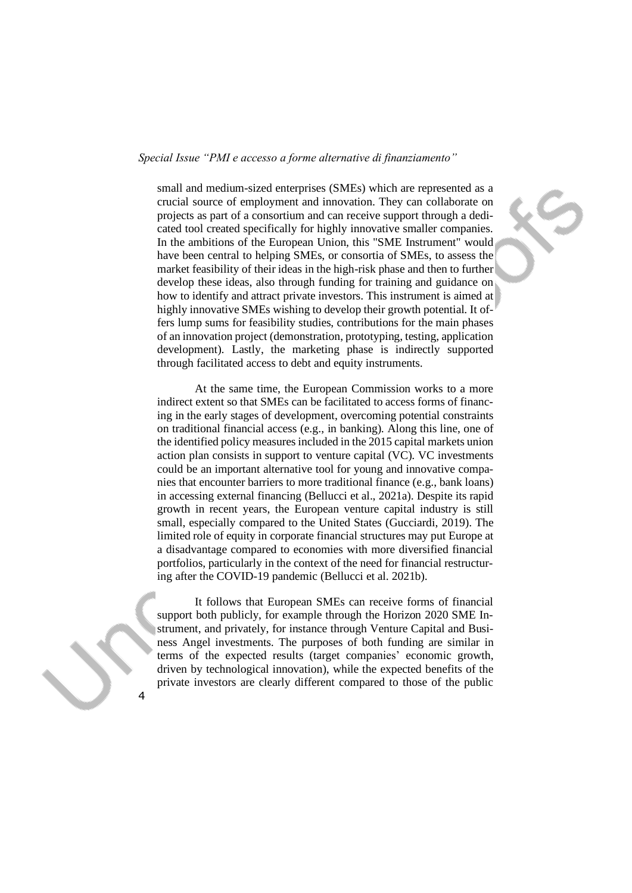small and medium-sized enterprises (SMEs) which are represented as a crucial source of employment and innovation. They can collaborate on projects as part of a consortium and can receive support through a dedicated tool created specifically for highly innovative smaller companies. In the ambitions of the European Union, this "SME Instrument" would have been central to helping SMEs, or consortia of SMEs, to assess the market feasibility of their ideas in the high-risk phase and then to further develop these ideas, also through funding for training and guidance on how to identify and attract private investors. This instrument is aimed at highly innovative SMEs wishing to develop their growth potential. It offers lump sums for feasibility studies, contributions for the main phases of an innovation project (demonstration, prototyping, testing, application development). Lastly, the marketing phase is indirectly supported through facilitated access to debt and equity instruments.

At the same time, the European Commission works to a more indirect extent so that SMEs can be facilitated to access forms of financing in the early stages of development, overcoming potential constraints on traditional financial access (e.g., in banking). Along this line, one of the identified policy measures included in the 2015 capital markets union action plan consists in support to venture capital (VC). VC investments could be an important alternative tool for young and innovative companies that encounter barriers to more traditional finance (e.g., bank loans) in accessing external financing (Bellucci et al., 2021a). Despite its rapid growth in recent years, the European venture capital industry is still small, especially compared to the United States (Gucciardi, 2019). The limited role of equity in corporate financial structures may put Europe at a disadvantage compared to economies with more diversified financial portfolios, particularly in the context of the need for financial restructuring after the COVID-19 pandemic (Bellucci et al. 2021b).

It follows that European SMEs can receive forms of financial support both publicly, for example through the Horizon 2020 SME Instrument, and privately, for instance through Venture Capital and Business Angel investments. The purposes of both funding are similar in terms of the expected results (target companies' economic growth, driven by technological innovation), while the expected benefits of the private investors are clearly different compared to those of the public

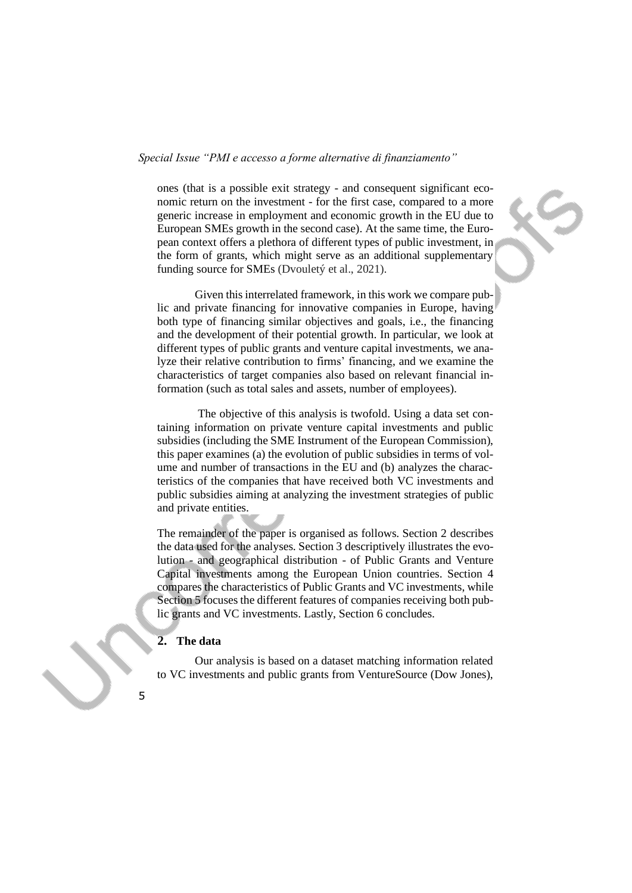ones (that is a possible exit strategy - and consequent significant economic return on the investment - for the first case, compared to a more generic increase in employment and economic growth in the EU due to European SMEs growth in the second case). At the same time, the European context offers a plethora of different types of public investment, in the form of grants, which might serve as an additional supplementary funding source for SMEs (Dvouletý et al., 2021).

Given this interrelated framework, in this work we compare public and private financing for innovative companies in Europe, having both type of financing similar objectives and goals, i.e., the financing and the development of their potential growth. In particular, we look at different types of public grants and venture capital investments, we analyze their relative contribution to firms' financing, and we examine the characteristics of target companies also based on relevant financial information (such as total sales and assets, number of employees).

The objective of this analysis is twofold. Using a data set containing information on private venture capital investments and public subsidies (including the SME Instrument of the European Commission), this paper examines (a) the evolution of public subsidies in terms of volume and number of transactions in the EU and (b) analyzes the characteristics of the companies that have received both VC investments and public subsidies aiming at analyzing the investment strategies of public and private entities.

The remainder of the paper is organised as follows. Section 2 describes the data used for the analyses. Section 3 descriptively illustrates the evolution - and geographical distribution - of Public Grants and Venture Capital investments among the European Union countries. Section 4 compares the characteristics of Public Grants and VC investments, while Section 5 focuses the different features of companies receiving both public grants and VC investments. Lastly, Section 6 concludes.

# **2. The data**

Our analysis is based on a dataset matching information related to VC investments and public grants from VentureSource (Dow Jones),

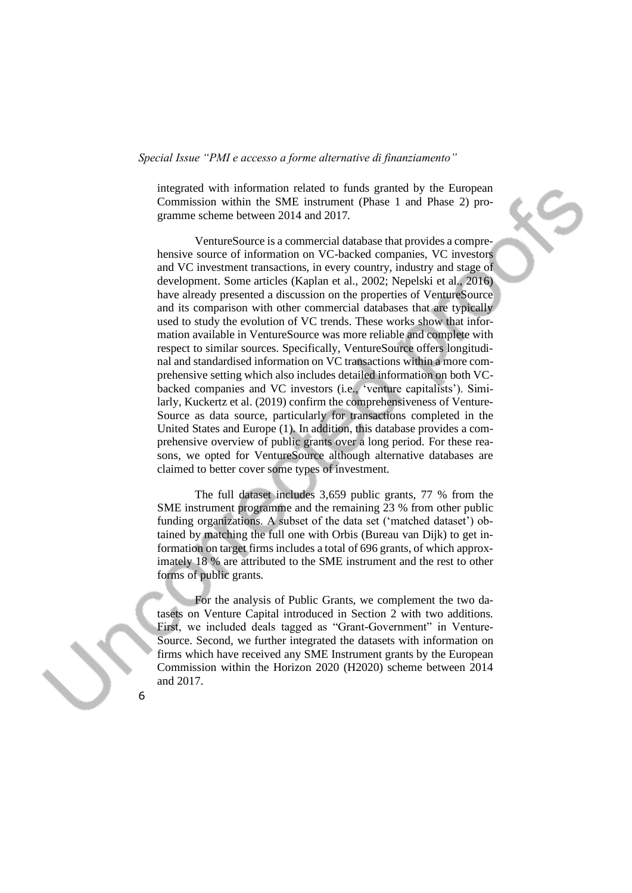integrated with information related to funds granted by the European Commission within the SME instrument (Phase 1 and Phase 2) programme scheme between 2014 and 2017.

VentureSource is a commercial database that provides a comprehensive source of information on VC-backed companies, VC investors and VC investment transactions, in every country, industry and stage of development. Some articles (Kaplan et al., 2002; Nepelski et al., 2016) have already presented a discussion on the properties of VentureSource and its comparison with other commercial databases that are typically used to study the evolution of VC trends. These works show that information available in VentureSource was more reliable and complete with respect to similar sources. Specifically, VentureSource offers longitudinal and standardised information on VC transactions within a more comprehensive setting which also includes detailed information on both VCbacked companies and VC investors (i.e., 'venture capitalists'). Similarly, Kuckertz et al. (2019) confirm the comprehensiveness of Venture-Source as data source, particularly for transactions completed in the United States and Europe (1). In addition, this database provides a comprehensive overview of public grants over a long period. For these reasons, we opted for VentureSource although alternative databases are claimed to better cover some types of investment.

The full dataset includes 3,659 public grants, 77 % from the SME instrument programme and the remaining 23 % from other public funding organizations. A subset of the data set ('matched dataset') obtained by matching the full one with Orbis (Bureau van Dijk) to get information on target firms includes a total of 696 grants, of which approximately 18 % are attributed to the SME instrument and the rest to other forms of public grants.

For the analysis of Public Grants, we complement the two datasets on Venture Capital introduced in Section 2 with two additions. First, we included deals tagged as "Grant-Government" in Venture-Source. Second, we further integrated the datasets with information on firms which have received any SME Instrument grants by the European Commission within the Horizon 2020 (H2020) scheme between 2014 and 2017.

6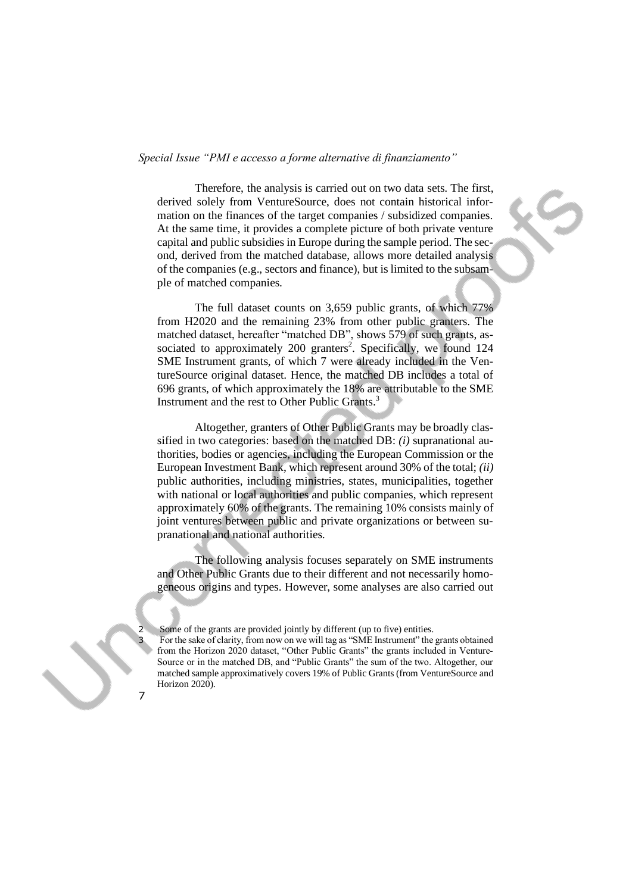Therefore, the analysis is carried out on two data sets. The first, derived solely from VentureSource, does not contain historical information on the finances of the target companies / subsidized companies. At the same time, it provides a complete picture of both private venture capital and public subsidies in Europe during the sample period. The second, derived from the matched database, allows more detailed analysis of the companies (e.g., sectors and finance), but is limited to the subsample of matched companies.



The full dataset counts on 3,659 public grants, of which 77% from H2020 and the remaining 23% from other public granters. The matched dataset, hereafter "matched DB", shows 579 of such grants, associated to approximately 200 granters<sup>2</sup>. Specifically, we found 124 SME Instrument grants, of which 7 were already included in the VentureSource original dataset. Hence, the matched DB includes a total of 696 grants, of which approximately the 18% are attributable to the SME Instrument and the rest to Other Public Grants.<sup>3</sup>

Altogether, granters of Other Public Grants may be broadly classified in two categories: based on the matched DB: *(i)* supranational authorities, bodies or agencies, including the European Commission or the European Investment Bank, which represent around 30% of the total; *(ii)* public authorities, including ministries, states, municipalities, together with national or local authorities and public companies, which represent approximately 60% of the grants. The remaining 10% consists mainly of joint ventures between public and private organizations or between supranational and national authorities.

The following analysis focuses separately on SME instruments and Other Public Grants due to their different and not necessarily homogeneous origins and types. However, some analyses are also carried out

Some of the grants are provided jointly by different (up to five) entities.

<sup>3</sup> For the sake of clarity, from now on we will tag as "SME Instrument" the grants obtained from the Horizon 2020 dataset, "Other Public Grants" the grants included in Venture-Source or in the matched DB, and "Public Grants" the sum of the two. Altogether, our matched sample approximatively covers 19% of Public Grants (from VentureSource and Horizon 2020).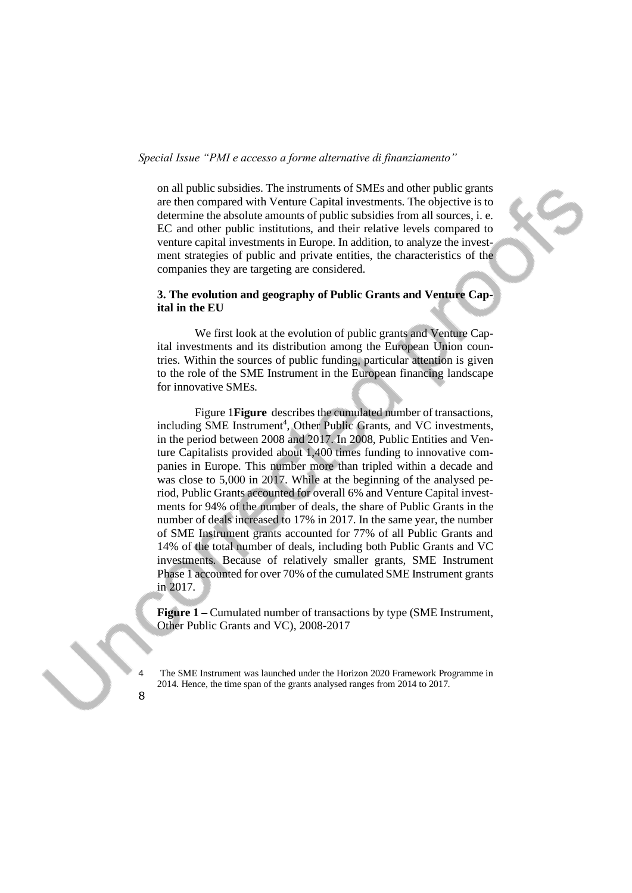on all public subsidies. The instruments of SMEs and other public grants are then compared with Venture Capital investments. The objective is to determine the absolute amounts of public subsidies from all sources, i. e. EC and other public institutions, and their relative levels compared to venture capital investments in Europe. In addition, to analyze the investment strategies of public and private entities, the characteristics of the companies they are targeting are considered.

#### **3. The evolution and geography of Public Grants and Venture Capital in the EU**

We first look at the evolution of public grants and Venture Capital investments and its distribution among the European Union countries. Within the sources of public funding, particular attention is given to the role of the SME Instrument in the European financing landscape for innovative SMEs.

Figure 1**[Figure](#page-7-0)** describes the cumulated number of transactions, including SME Instrument<sup>4</sup>, Other Public Grants, and VC investments, in the period between 2008 and 2017. In 2008, Public Entities and Venture Capitalists provided about 1,400 times funding to innovative companies in Europe. This number more than tripled within a decade and was close to 5,000 in 2017. While at the beginning of the analysed period, Public Grants accounted for overall 6% and Venture Capital investments for 94% of the number of deals, the share of Public Grants in the number of deals increased to 17% in 2017. In the same year, the number of SME Instrument grants accounted for 77% of all Public Grants and 14% of the total number of deals, including both Public Grants and VC investments. Because of relatively smaller grants, SME Instrument Phase 1 accounted for over 70% of the cumulated SME Instrument grants in 2017.

<span id="page-7-0"></span>**Figure 1 –** Cumulated number of transactions by type (SME Instrument, Other Public Grants and VC), 2008-2017

4 The SME Instrument was launched under the Horizon 2020 Framework Programme in 2014. Hence, the time span of the grants analysed ranges from 2014 to 2017.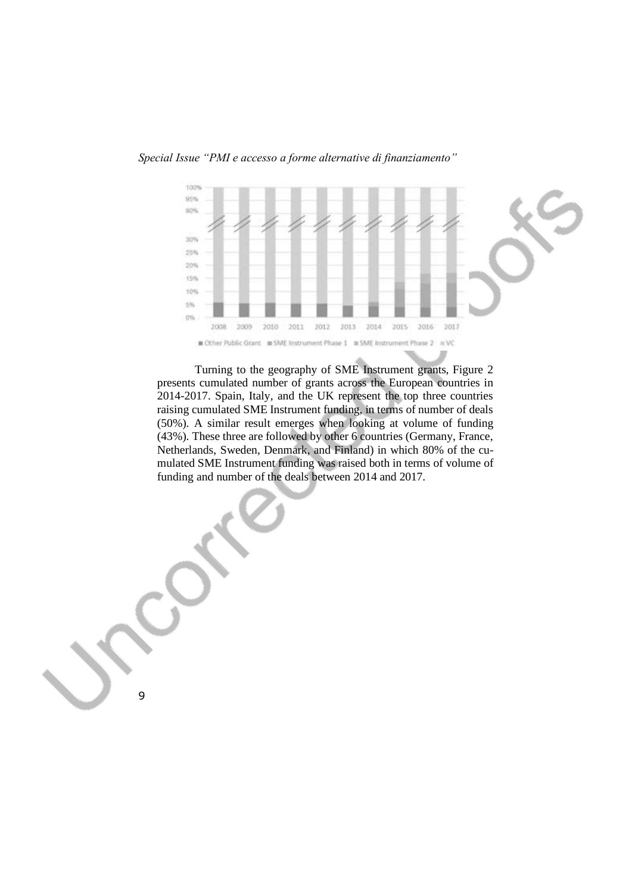

Turning to the geography of SME Instrument grants, Figure 2 presents cumulated number of grants across the European countries in 2014-2017. Spain, Italy, and the UK represent the top three countries raising cumulated SME Instrument funding, in terms of number of deals (50%). A similar result emerges when looking at volume of funding (43%). These three are followed by other 6 countries (Germany, France, Netherlands, Sweden, Denmark, and Finland) in which 80% of the cumulated SME Instrument funding was raised both in terms of volume of funding and number of the deals between 2014 and 2017.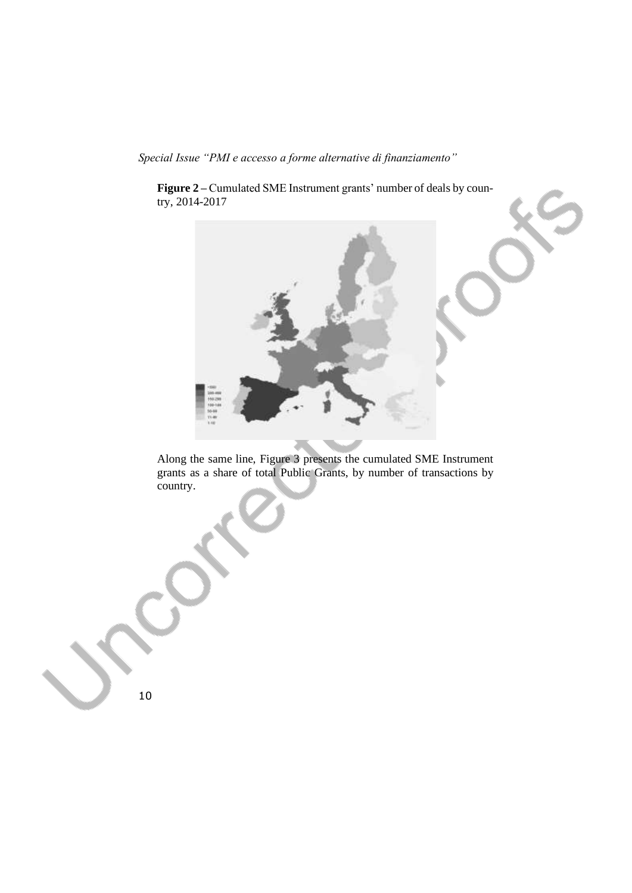**Figure 2 –** Cumulated SME Instrument grants' number of deals by country, 2014-2017



Along the same line, Figure 3 presents the cumulated SME Instrument grants as a share of total Public Grants, by number of transactions by country.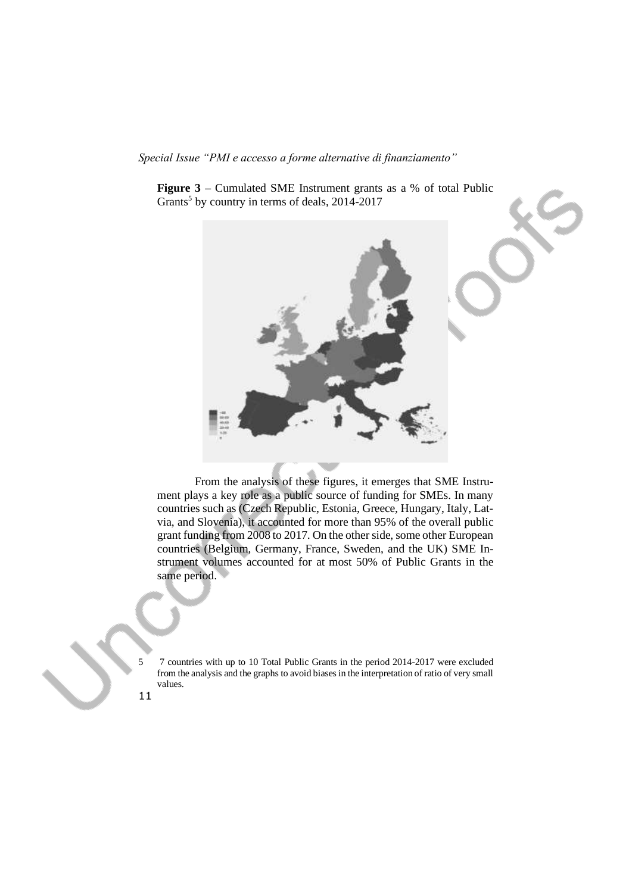**Figure 3 –** Cumulated SME Instrument grants as a % of total Public Grants<sup>5</sup> by country in terms of deals, 2014-2017



From the analysis of these figures, it emerges that SME Instrument plays a key role as a public source of funding for SMEs. In many countries such as (Czech Republic, Estonia, Greece, Hungary, Italy, Latvia, and Slovenia), it accounted for more than 95% of the overall public grant funding from 2008 to 2017. On the other side, some other European countries (Belgium, Germany, France, Sweden, and the UK) SME Instrument volumes accounted for at most 50% of Public Grants in the same period.

5 7 countries with up to 10 Total Public Grants in the period 2014-2017 were excluded from the analysis and the graphs to avoid biases in the interpretation of ratio of very small values.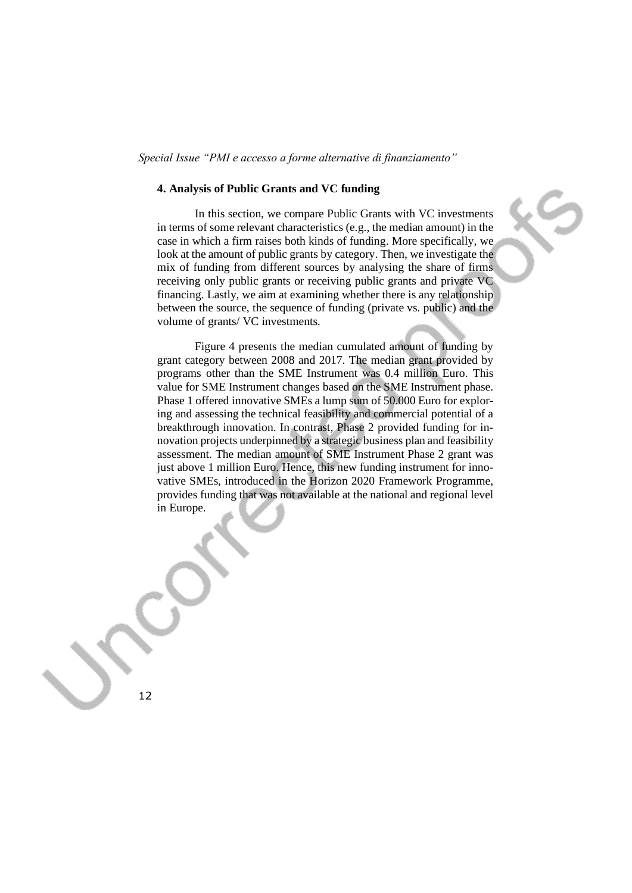#### **4. Analysis of Public Grants and VC funding**

In this section, we compare Public Grants with VC investments in terms of some relevant characteristics (e.g., the median amount) in the case in which a firm raises both kinds of funding. More specifically, we look at the amount of public grants by category. Then, we investigate the mix of funding from different sources by analysing the share of firms receiving only public grants or receiving public grants and private VC financing. Lastly, we aim at examining whether there is any relationship between the source, the sequence of funding (private vs. public) and the volume of grants/ VC investments.

Figure 4 presents the median cumulated amount of funding by grant category between 2008 and 2017. The median grant provided by programs other than the SME Instrument was 0.4 million Euro. This value for SME Instrument changes based on the SME Instrument phase. Phase 1 offered innovative SMEs a lump sum of 50.000 Euro for exploring and assessing the technical feasibility and commercial potential of a breakthrough innovation. In contrast, Phase 2 provided funding for innovation projects underpinned by a strategic business plan and feasibility assessment. The median amount of SME Instrument Phase 2 grant was just above 1 million Euro. Hence, this new funding instrument for innovative SMEs, introduced in the Horizon 2020 Framework Programme, provides funding that was not available at the national and regional level in Europe.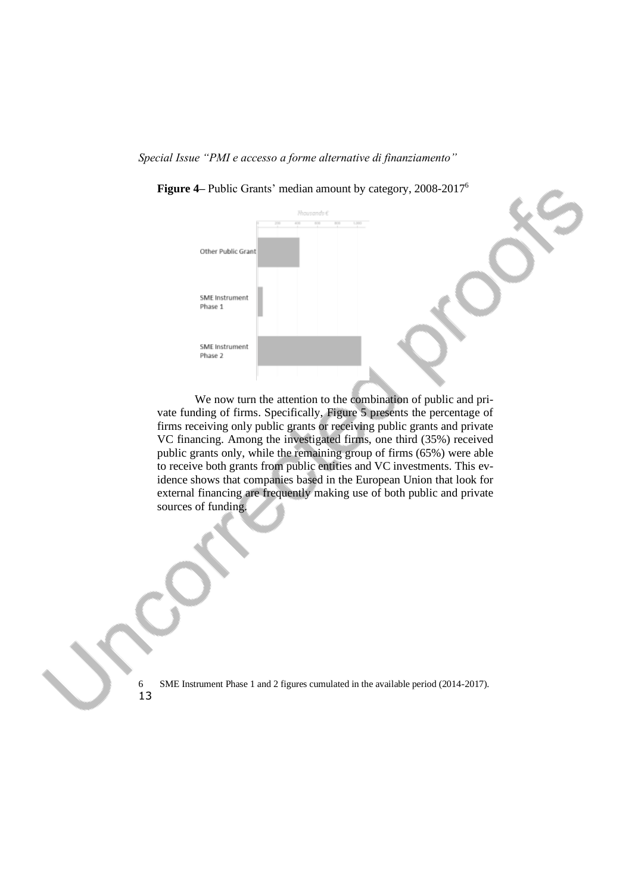

**Figure 4–** Public Grants' median amount by category, 2008-2017<sup>6</sup>

We now turn the attention to the combination of public and private funding of firms. Specifically, Figure 5 presents the percentage of firms receiving only public grants or receiving public grants and private VC financing. Among the investigated firms, one third (35%) received public grants only, while the remaining group of firms (65%) were able to receive both grants from public entities and VC investments. This evidence shows that companies based in the European Union that look for external financing are frequently making use of both public and private sources of funding.

13

6 SME Instrument Phase 1 and 2 figures cumulated in the available period (2014-2017).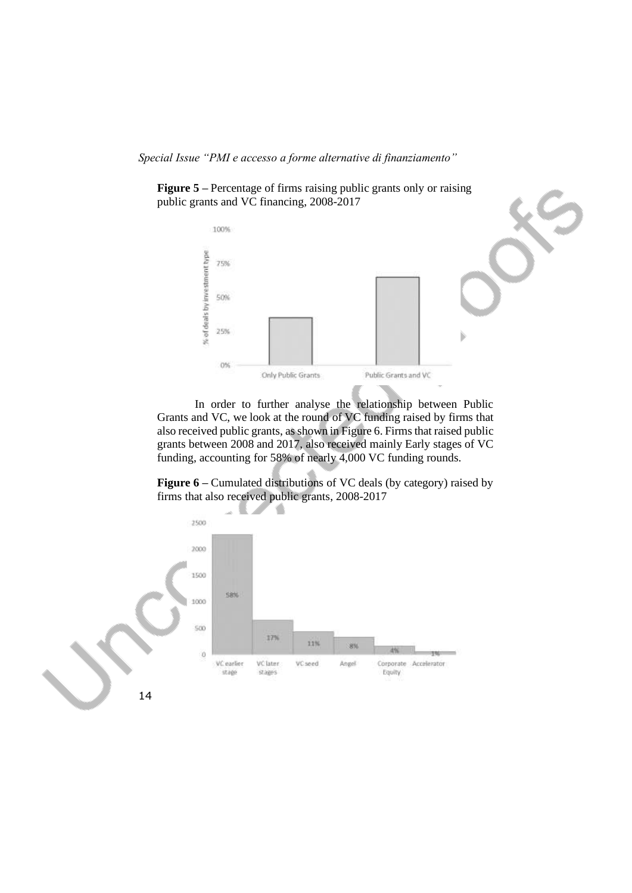



In order to further analyse the relationship between Public Grants and VC, we look at the round of VC funding raised by firms that also received public grants, as shown in Figure 6. Firms that raised public grants between 2008 and 2017, also received mainly Early stages of VC funding, accounting for 58% of nearly 4,000 VC funding rounds.

**Figure 6** – Cumulated distributions of VC deals (by category) raised by firms that also received public grants, 2008-2017

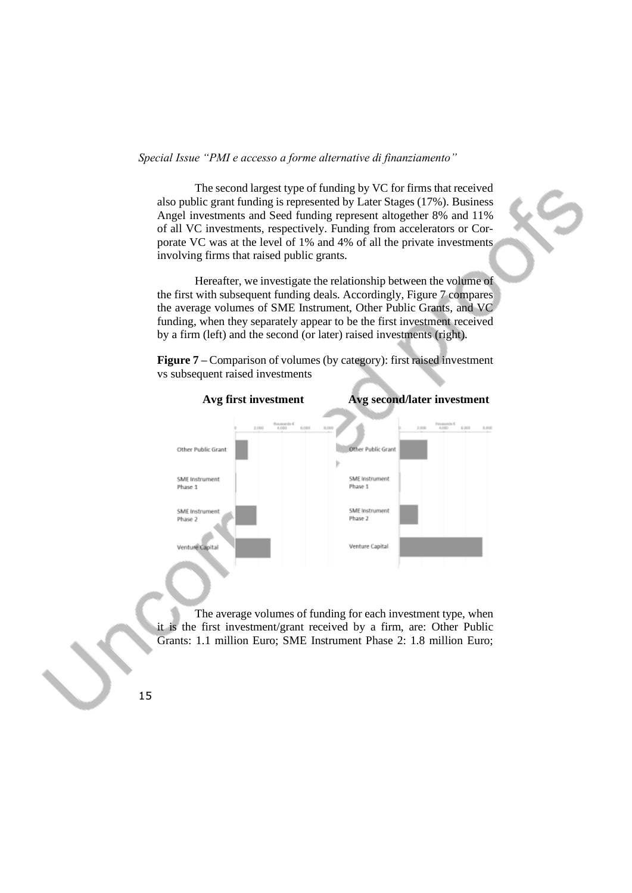The second largest type of funding by VC for firms that received also public grant funding is represented by Later Stages (17%). Business Angel investments and Seed funding represent altogether 8% and 11% of all VC investments, respectively. Funding from accelerators or Corporate VC was at the level of 1% and 4% of all the private investments involving firms that raised public grants.

Hereafter, we investigate the relationship between the volume of the first with subsequent funding deals. Accordingly, Figure 7 compares the average volumes of SME Instrument, Other Public Grants, and VC funding, when they separately appear to be the first investment received by a firm (left) and the second (or later) raised investments (right).



**Figure 7** – Comparison of volumes (by category): first raised investment vs subsequent raised investments

The average volumes of funding for each investment type, when it is the first investment/grant received by a firm, are: Other Public Grants: 1.1 million Euro; SME Instrument Phase 2: 1.8 million Euro;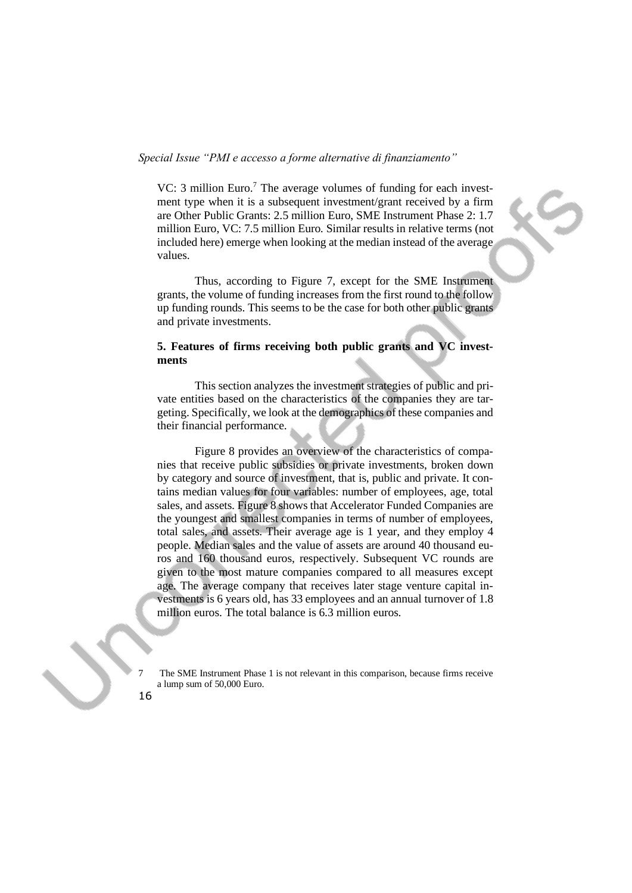VC: 3 million Euro.<sup>7</sup> The average volumes of funding for each investment type when it is a subsequent investment/grant received by a firm are Other Public Grants: 2.5 million Euro, SME Instrument Phase 2: 1.7 million Euro, VC: 7.5 million Euro. Similar results in relative terms (not included here) emerge when looking at the median instead of the average values.

Thus, according to Figure 7, except for the SME Instrument grants, the volume of funding increases from the first round to the follow up funding rounds. This seems to be the case for both other public grants and private investments.

# **5. Features of firms receiving both public grants and VC investments**

This section analyzes the investment strategies of public and private entities based on the characteristics of the companies they are targeting. Specifically, we look at the demographics of these companies and their financial performance.

Figure 8 provides an overview of the characteristics of companies that receive public subsidies or private investments, broken down by category and source of investment, that is, public and private. It contains median values for four variables: number of employees, age, total sales, and assets. Figure 8 shows that Accelerator Funded Companies are the youngest and smallest companies in terms of number of employees, total sales, and assets. Their average age is 1 year, and they employ 4 people. Median sales and the value of assets are around 40 thousand euros and 160 thousand euros, respectively. Subsequent VC rounds are given to the most mature companies compared to all measures except age. The average company that receives later stage venture capital investments is 6 years old, has 33 employees and an annual turnover of 1.8 million euros. The total balance is 6.3 million euros.

7 The SME Instrument Phase 1 is not relevant in this comparison, because firms receive a lump sum of 50,000 Euro.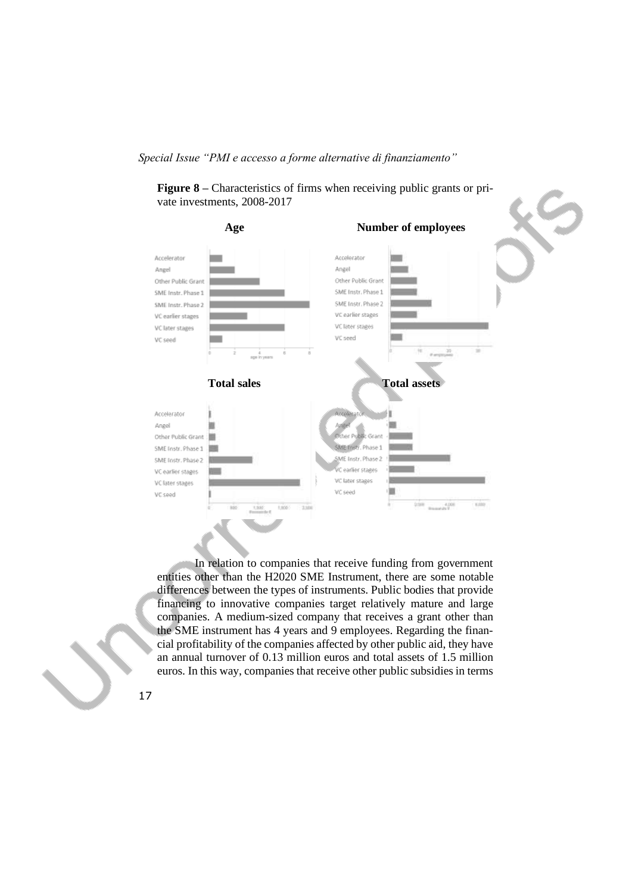**Figure 8** – Characteristics of firms when receiving public grants or private investments, 2008-2017



In relation to companies that receive funding from government entities other than the H2020 SME Instrument, there are some notable differences between the types of instruments. Public bodies that provide financing to innovative companies target relatively mature and large companies. A medium-sized company that receives a grant other than the SME instrument has 4 years and 9 employees. Regarding the financial profitability of the companies affected by other public aid, they have an annual turnover of 0.13 million euros and total assets of 1.5 million euros. In this way, companies that receive other public subsidies in terms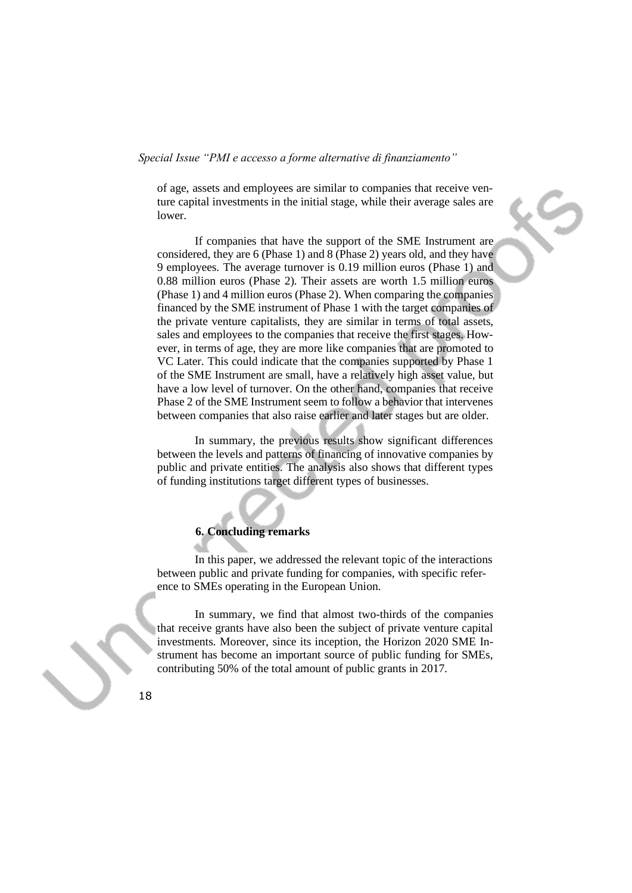of age, assets and employees are similar to companies that receive venture capital investments in the initial stage, while their average sales are lower.

If companies that have the support of the SME Instrument are considered, they are 6 (Phase 1) and 8 (Phase 2) years old, and they have 9 employees. The average turnover is 0.19 million euros (Phase 1) and 0.88 million euros (Phase 2). Their assets are worth 1.5 million euros (Phase 1) and 4 million euros (Phase 2). When comparing the companies financed by the SME instrument of Phase 1 with the target companies of the private venture capitalists, they are similar in terms of total assets, sales and employees to the companies that receive the first stages. However, in terms of age, they are more like companies that are promoted to VC Later. This could indicate that the companies supported by Phase 1 of the SME Instrument are small, have a relatively high asset value, but have a low level of turnover. On the other hand, companies that receive Phase 2 of the SME Instrument seem to follow a behavior that intervenes between companies that also raise earlier and later stages but are older.

In summary, the previous results show significant differences between the levels and patterns of financing of innovative companies by public and private entities. The analysis also shows that different types of funding institutions target different types of businesses.

### **6. Concluding remarks**

In this paper, we addressed the relevant topic of the interactions between public and private funding for companies, with specific reference to SMEs operating in the European Union.

In summary, we find that almost two-thirds of the companies that receive grants have also been the subject of private venture capital investments. Moreover, since its inception, the Horizon 2020 SME Instrument has become an important source of public funding for SMEs, contributing 50% of the total amount of public grants in 2017.

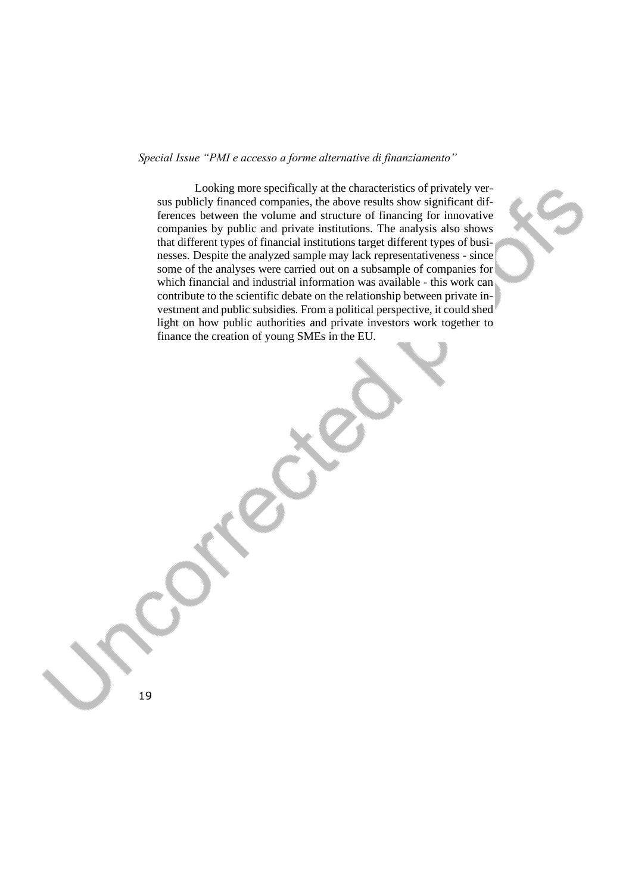Looking more specifically at the characteristics of privately versus publicly financed companies, the above results show significant differences between the volume and structure of financing for innovative companies by public and private institutions. The analysis also shows that different types of financial institutions target different types of businesses. Despite the analyzed sample may lack representativeness - since some of the analyses were carried out on a subsample of companies for which financial and industrial information was available - this work can contribute to the scientific debate on the relationship between private investment and public subsidies. From a political perspective, it could shed light on how public authorities and private investors work together to finance the creation of young SMEs in the EU.

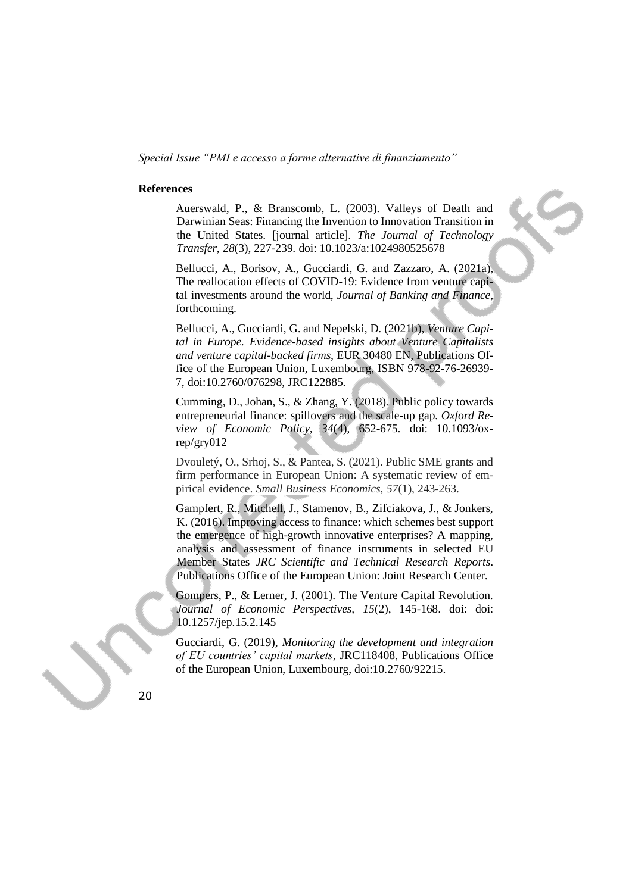#### **References**

Auerswald, P., & Branscomb, L. (2003). Valleys of Death and Darwinian Seas: Financing the Invention to Innovation Transition in the United States. [journal article]. *The Journal of Technology Transfer, 28*(3), 227-239. doi: 10.1023/a:1024980525678

Bellucci, A., Borisov, A., Gucciardi, G. and Zazzaro, A. (2021a), The reallocation effects of COVID-19: Evidence from venture capital investments around the world, *Journal of Banking and Finance*, forthcoming.

Bellucci, A., Gucciardi, G. and Nepelski, D. (2021b), *Venture Capital in Europe. Evidence-based insights about Venture Capitalists and venture capital-backed firms*, EUR 30480 EN, Publications Office of the European Union, Luxembourg, ISBN 978-92-76-26939- 7, doi:10.2760/076298, JRC122885.

Cumming, D., Johan, S., & Zhang, Y. (2018). Public policy towards entrepreneurial finance: spillovers and the scale-up gap. *Oxford Review of Economic Policy, 34*(4), 652-675. doi: 10.1093/oxrep/gry012

Dvouletý, O., Srhoj, S., & Pantea, S. (2021). Public SME grants and firm performance in European Union: A systematic review of empirical evidence. *Small Business Economics*, *57*(1), 243-263.

Gampfert, R., Mitchell, J., Stamenov, B., Zifciakova, J., & Jonkers, K. (2016). Improving access to finance: which schemes best support the emergence of high-growth innovative enterprises? A mapping, analysis and assessment of finance instruments in selected EU Member States *JRC Scientific and Technical Research Reports*. Publications Office of the European Union: Joint Research Center.

Gompers, P., & Lerner, J. (2001). The Venture Capital Revolution. *Journal of Economic Perspectives, 15*(2), 145-168. doi: doi: 10.1257/jep.15.2.145

Gucciardi, G. (2019), *Monitoring the development and integration of EU countries' capital markets*, JRC118408, Publications Office of the European Union, Luxembourg, doi:10.2760/92215.